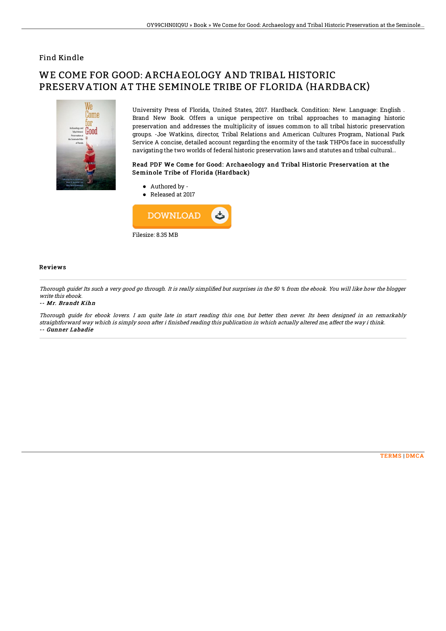## Find Kindle

# WE COME FOR GOOD: ARCHAEOLOGY AND TRIBAL HISTORIC PRESERVATION AT THE SEMINOLE TRIBE OF FLORIDA (HARDBACK)



University Press of Florida, United States, 2017. Hardback. Condition: New. Language: English . Brand New Book. Offers a unique perspective on tribal approaches to managing historic preservation and addresses the multiplicity of issues common to all tribal historic preservation groups. -Joe Watkins, director, Tribal Relations and American Cultures Program, National Park Service A concise, detailed account regarding the enormity of the task THPOs face in successfully navigating the two worlds of federal historic preservation laws and statutes and tribal cultural...

### Read PDF We Come for Good: Archaeology and Tribal Historic Preservation at the Seminole Tribe of Florida (Hardback)

Authored by - • Released at 2017



#### Reviews

Thorough quide! Its such a very good go through. It is really simplified but surprises in the 50 % from the ebook. You will like how the blogger write this ebook.

#### -- Mr. Brandt Kihn

Thorough guide for ebook lovers. I am quite late in start reading this one, but better then never. Its been designed in an remarkably straightforward way which is simply soon after i finished reading this publication in which actually altered me, affect the way i think. -- Gunner Labadie